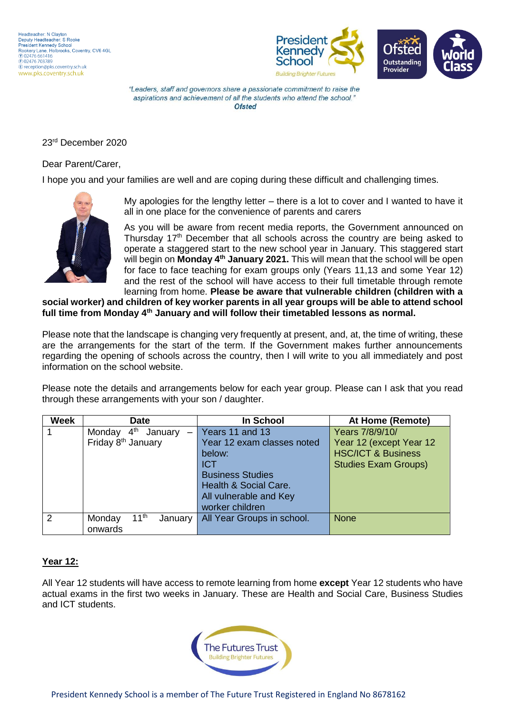



#### 23rd December 2020

#### Dear Parent/Carer,

I hope you and your families are well and are coping during these difficult and challenging times.



My apologies for the lengthy letter – there is a lot to cover and I wanted to have it all in one place for the convenience of parents and carers

As you will be aware from recent media reports, the Government announced on Thursday 17<sup>th</sup> December that all schools across the country are being asked to operate a staggered start to the new school year in January. This staggered start will begin on **Monday 4th January 2021.** This will mean that the school will be open for face to face teaching for exam groups only (Years 11,13 and some Year 12) and the rest of the school will have access to their full timetable through remote learning from home. **Please be aware that vulnerable children (children with a** 

**social worker) and children of key worker parents in all year groups will be able to attend school full time from Monday 4th January and will follow their timetabled lessons as normal.**

Please note that the landscape is changing very frequently at present, and, at, the time of writing, these are the arrangements for the start of the term. If the Government makes further announcements regarding the opening of schools across the country, then I will write to you all immediately and post information on the school website.

Please note the details and arrangements below for each year group. Please can I ask that you read through these arrangements with your son / daughter.

| <b>Week</b>   | <b>Date</b>                               | In School                  | At Home (Remote)              |  |
|---------------|-------------------------------------------|----------------------------|-------------------------------|--|
|               | 4 <sup>th</sup><br>January<br>Monday      | Years 11 and 13            | Years 7/8/9/10/               |  |
|               | Friday 8 <sup>th</sup> January            | Year 12 exam classes noted | Year 12 (except Year 12)      |  |
|               |                                           | below:                     | <b>HSC/ICT &amp; Business</b> |  |
|               |                                           | <b>ICT</b>                 | <b>Studies Exam Groups)</b>   |  |
|               |                                           | <b>Business Studies</b>    |                               |  |
|               |                                           | Health & Social Care.      |                               |  |
|               |                                           | All vulnerable and Key     |                               |  |
|               |                                           | worker children            |                               |  |
| $\mathcal{P}$ | $11^{th}$<br>Monday<br>January<br>onwards | All Year Groups in school. | <b>None</b>                   |  |

### **Year 12:**

All Year 12 students will have access to remote learning from home **except** Year 12 students who have actual exams in the first two weeks in January. These are Health and Social Care, Business Studies and ICT students.

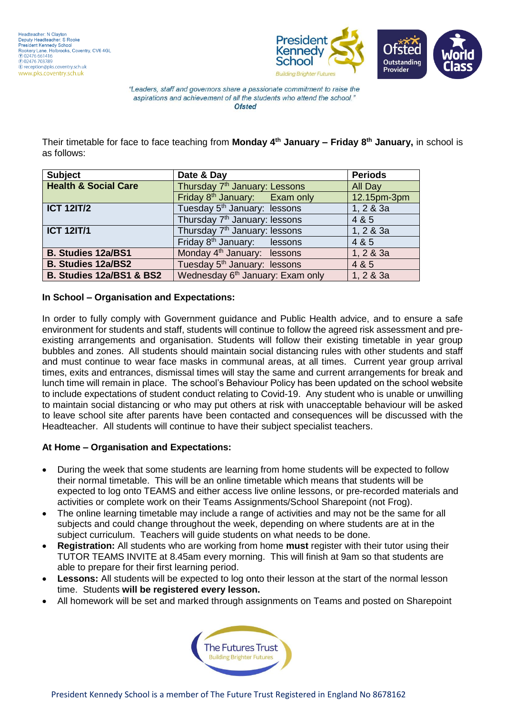

Their timetable for face to face teaching from **Monday 4th January – Friday 8th January,** in school is as follows:

| <b>Subject</b>                  | Date & Day                                   | <b>Periods</b> |  |
|---------------------------------|----------------------------------------------|----------------|--|
| <b>Health &amp; Social Care</b> | Thursday 7 <sup>th</sup> January: Lessons    | All Day        |  |
|                                 | Friday 8 <sup>th</sup> January: Exam only    | 12.15pm-3pm    |  |
| <b>ICT 12IT/2</b>               | Tuesday 5 <sup>th</sup> January: lessons     | 1, 2 & 3a      |  |
|                                 | Thursday 7 <sup>th</sup> January: lessons    | 4 & 5          |  |
| <b>ICT 12IT/1</b>               | Thursday 7 <sup>th</sup> January: lessons    | 1, 2 & 3a      |  |
|                                 | Friday 8 <sup>th</sup> January: lessons      | 4 & 5          |  |
| <b>B. Studies 12a/BS1</b>       | Monday 4 <sup>th</sup> January: lessons      | 1, 2 & 3a      |  |
| <b>B. Studies 12a/BS2</b>       | Tuesday 5 <sup>th</sup> January: lessons     | 4 & 5          |  |
| B. Studies 12a/BS1 & BS2        | Wednesday 6 <sup>th</sup> January: Exam only | 1, 2 & 3a      |  |

### **In School – Organisation and Expectations:**

In order to fully comply with Government guidance and Public Health advice, and to ensure a safe environment for students and staff, students will continue to follow the agreed risk assessment and preexisting arrangements and organisation. Students will follow their existing timetable in year group bubbles and zones. All students should maintain social distancing rules with other students and staff and must continue to wear face masks in communal areas, at all times. Current year group arrival times, exits and entrances, dismissal times will stay the same and current arrangements for break and lunch time will remain in place. The school's Behaviour Policy has been updated on the school website to include expectations of student conduct relating to Covid-19. Any student who is unable or unwilling to maintain social distancing or who may put others at risk with unacceptable behaviour will be asked to leave school site after parents have been contacted and consequences will be discussed with the Headteacher. All students will continue to have their subject specialist teachers.

### **At Home – Organisation and Expectations:**

- During the week that some students are learning from home students will be expected to follow their normal timetable. This will be an online timetable which means that students will be expected to log onto TEAMS and either access live online lessons, or pre-recorded materials and activities or complete work on their Teams Assignments/School Sharepoint (not Frog).
- The online learning timetable may include a range of activities and may not be the same for all subjects and could change throughout the week, depending on where students are at in the subject curriculum. Teachers will guide students on what needs to be done.
- **Registration:** All students who are working from home **must** register with their tutor using their TUTOR TEAMS INVITE at 8.45am every morning. This will finish at 9am so that students are able to prepare for their first learning period.
- Lessons: All students will be expected to log onto their lesson at the start of the normal lesson time. Students **will be registered every lesson.**
- All homework will be set and marked through assignments on Teams and posted on Sharepoint

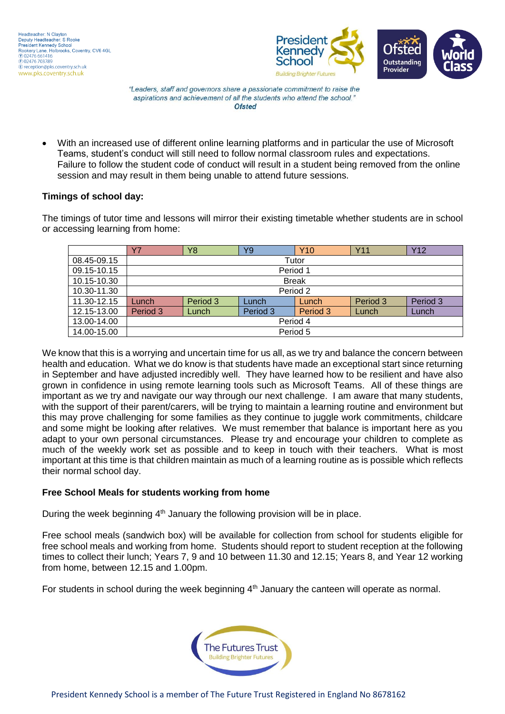

 With an increased use of different online learning platforms and in particular the use of Microsoft Teams, student's conduct will still need to follow normal classroom rules and expectations. Failure to follow the student code of conduct will result in a student being removed from the online session and may result in them being unable to attend future sessions.

# **Timings of school day:**

The timings of tutor time and lessons will mirror their existing timetable whether students are in school or accessing learning from home:

|             | Y7           | Y8       | Y9       | <b>Y10</b> | Y11      | <b>Y12</b> |  |  |
|-------------|--------------|----------|----------|------------|----------|------------|--|--|
| 08.45-09.15 | Tutor        |          |          |            |          |            |  |  |
| 09.15-10.15 | Period 1     |          |          |            |          |            |  |  |
| 10.15-10.30 | <b>Break</b> |          |          |            |          |            |  |  |
| 10.30-11.30 | Period 2     |          |          |            |          |            |  |  |
| 11.30-12.15 | -unch        | Period 3 | Lunch    | Lunch      | Period 3 | Period 3   |  |  |
| 12.15-13.00 | Period 3     | Lunch    | Period 3 | Period 3   | Lunch    | Lunch      |  |  |
| 13.00-14.00 | Period 4     |          |          |            |          |            |  |  |
| 14.00-15.00 | Period 5     |          |          |            |          |            |  |  |

We know that this is a worrying and uncertain time for us all, as we try and balance the concern between health and education. What we do know is that students have made an exceptional start since returning in September and have adjusted incredibly well. They have learned how to be resilient and have also grown in confidence in using remote learning tools such as Microsoft Teams. All of these things are important as we try and navigate our way through our next challenge. I am aware that many students, with the support of their parent/carers, will be trying to maintain a learning routine and environment but this may prove challenging for some families as they continue to juggle work commitments, childcare and some might be looking after relatives. We must remember that balance is important here as you adapt to your own personal circumstances. Please try and encourage your children to complete as much of the weekly work set as possible and to keep in touch with their teachers. What is most important at this time is that children maintain as much of a learning routine as is possible which reflects their normal school day.

### **Free School Meals for students working from home**

During the week beginning  $4<sup>th</sup>$  January the following provision will be in place.

Free school meals (sandwich box) will be available for collection from school for students eligible for free school meals and working from home. Students should report to student reception at the following times to collect their lunch; Years 7, 9 and 10 between 11.30 and 12.15; Years 8, and Year 12 working from home, between 12.15 and 1.00pm.

For students in school during the week beginning  $4<sup>th</sup>$  January the canteen will operate as normal.